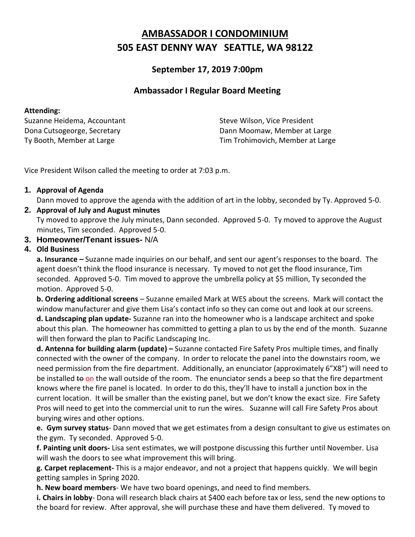# **AMBASSADOR I CONDOMINIUM 505 EAST DENNY WAY SEATTLE, WA 98122**

## **September 17, 2019 7:00pm**

## **Ambassador I Regular Board Meeting**

Suzanne Heidema, Accountant Suzanne Heidema, Accountant Dona Cutsogeorge, Secretary **Dann Moomaw, Member at Large** Ty Booth, Member at Large Tim Trohimovich, Member at Large

Vice President Wilson called the meeting to order at 7:03 p.m.

## **1. Approval of Agenda**

Dann moved to approve the agenda with the addition of art in the lobby, seconded by Ty. Approved 5-0.

#### **2. Approval of July and August minutes**

Ty moved to approve the July minutes, Dann seconded. Approved 5-0. Ty moved to approve the August minutes, Tim seconded. Approved 5-0.

#### **3. Homeowner/Tenant issues-** N/A

### **4. Old Business**

**a. Insurance –** Suzanne made inquiries on our behalf, and sent our agent's responses to the board. The agent doesn't think the flood insurance is necessary. Ty moved to not get the flood insurance, Tim seconded. Approved 5-0. Tim moved to approve the umbrella policy at \$5 million, Ty seconded the motion. Approved 5-0.

**b. Ordering additional screens** – Suzanne emailed Mark at WES about the screens. Mark will contact the window manufacturer and give them Lisa's contact info so they can come out and look at our screens.

**d. Landscaping plan update-** Suzanne ran into the homeowner who is a landscape architect and spoke about this plan. The homeowner has committed to getting a plan to us by the end of the month. Suzanne will then forward the plan to Pacific Landscaping Inc.

**d. Antenna for building alarm (update) –** Suzanne contacted Fire Safety Pros multiple times, and finally connected with the owner of the company. In order to relocate the panel into the downstairs room, we need permission from the fire department. Additionally, an enunciator (approximately 6"X8") will need to be installed to on the wall outside of the room. The enunciator sends a beep so that the fire department knows where the fire panel is located. In order to do this, they'll have to install a junction box in the current location. It will be smaller than the existing panel, but we don't know the exact size. Fire Safety Pros will need to get into the commercial unit to run the wires. Suzanne will call Fire Safety Pros about burying wires and other options.

**e. Gym survey status**- Dann moved that we get estimates from a design consultant to give us estimates on the gym. Ty seconded. Approved 5-0.

**f. Painting unit doors-** Lisa sent estimates, we will postpone discussing this further until November. Lisa will wash the doors to see what improvement this will bring.

**g. Carpet replacement-** This is a major endeavor, and not a project that happens quickly. We will begin getting samples in Spring 2020.

**h. New board members**- We have two board openings, and need to find members.

**i. Chairs in lobby**- Dona will research black chairs at \$400 each before tax or less, send the new options to the board for review. After approval, she will purchase these and have them delivered. Ty moved to